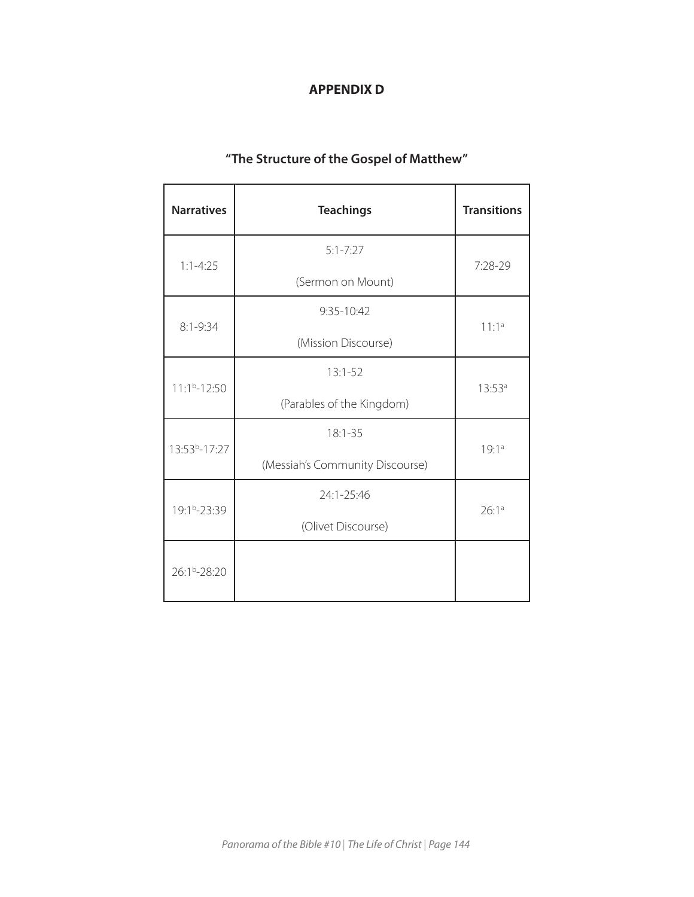## **APPENDIX D**

# **"The Structure of the Gospel of Matthew"**

| <b>Narratives</b>         | <b>Teachings</b>                | <b>Transitions</b> |
|---------------------------|---------------------------------|--------------------|
| $1:1 - 4:25$              | $5:1 - 7:27$                    | 7:28-29            |
|                           | (Sermon on Mount)               |                    |
| $8:1 - 9:34$              | 9:35-10:42                      | $11:1^a$           |
|                           | (Mission Discourse)             |                    |
| $11:1b-12:50$             | $13:1-52$                       | $13:53^a$          |
|                           | (Parables of the Kingdom)       |                    |
| 13:53 <sup>b</sup> -17:27 | $18:1 - 35$                     | 19:1a              |
|                           | (Messiah's Community Discourse) |                    |
| 19:1 <sup>b</sup> -23:39  | 24:1-25:46                      | 26:1a              |
|                           | (Olivet Discourse)              |                    |
| 26:1 <sup>b</sup> -28:20  |                                 |                    |